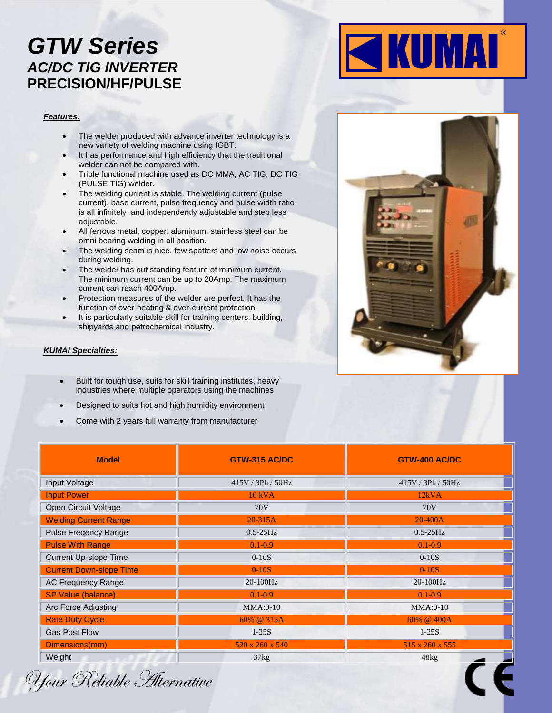# *GTW Series AC/DC TIG INVERTER* **PRECISION/HF/PULSE**



#### *Features:*

- The welder produced with advance inverter technology is a new variety of welding machine using IGBT.
- It has performance and high efficiency that the traditional welder can not be compared with.
- Triple functional machine used as DC MMA, AC TIG, DC TIG (PULSE TIG) welder.
- The welding current is stable. The welding current (pulse current), base current, pulse frequency and pulse width ratio is all infinitely and independently adjustable and step less adjustable.
- All ferrous metal, copper, aluminum, stainless steel can be omni bearing welding in all position.
- The welding seam is nice, few spatters and low noise occurs during welding.
- The welder has out standing feature of minimum current. The minimum current can be up to 20Amp. The maximum current can reach 400Amp.
- Protection measures of the welder are perfect. It has the function of over-heating & over-current protection.
- It is particularly suitable skill for training centers, building, shipyards and petrochemical industry.

### *KUMAI Specialties:*

- Built for tough use, suits for skill training institutes, heavy industries where multiple operators using the machines
- Designed to suits hot and high humidity environment
- Come with 2 years full warranty from manufacturer

| <b>Hall</b>  |  |
|--------------|--|
| <b>HERRI</b> |  |
|              |  |
|              |  |
|              |  |
|              |  |
|              |  |
|              |  |
|              |  |
|              |  |
|              |  |
|              |  |
|              |  |
|              |  |
|              |  |
|              |  |
|              |  |
|              |  |
|              |  |
|              |  |
|              |  |
|              |  |
|              |  |
|              |  |
|              |  |

| <b>Model</b>                   | GTW-315 AC/DC          | GTW-400 AC/DC     |  |
|--------------------------------|------------------------|-------------------|--|
| Input Voltage                  | 415V / 3Ph / 50Hz      | 415V / 3Ph / 50Hz |  |
| <b>Input Power</b>             | <b>10 kVA</b><br>12kVA |                   |  |
| Open Circuit Voltage           | 70V                    | 70V               |  |
| <b>Welding Current Range</b>   | $20-315A$              | $20 - 400A$       |  |
| <b>Pulse Fregency Range</b>    | $0.5 - 25$ Hz          | $0.5 - 25$ Hz     |  |
| <b>Pulse With Range</b>        | $0.1 - 0.9$            | $0.1 - 0.9$       |  |
| <b>Current Up-slope Time</b>   | $0-10S$                | $0-10S$           |  |
| <b>Current Down-slope Time</b> | $0-10S$                | $0-10S$           |  |
| <b>AC Frequency Range</b>      | $20-100$ Hz            | $20-100$ Hz       |  |
| <b>SP Value (balance)</b>      | $0.1 - 0.9$            | $0.1 - 0.9$       |  |
| Arc Force Adjusting            | $MMA:0-10$             | $MMA:0-10$        |  |
| <b>Rate Duty Cycle</b>         | 60% @ 315A             | 60% @ 400A        |  |
| <b>Gas Post Flow</b>           | $1-25S$                | $1-25S$           |  |
| Dimensions(mm)                 | 520 x 260 x 540        | 515 x 260 x 555   |  |
| Weight                         | 37kg                   | 48kg              |  |

Your Reliable Alternative